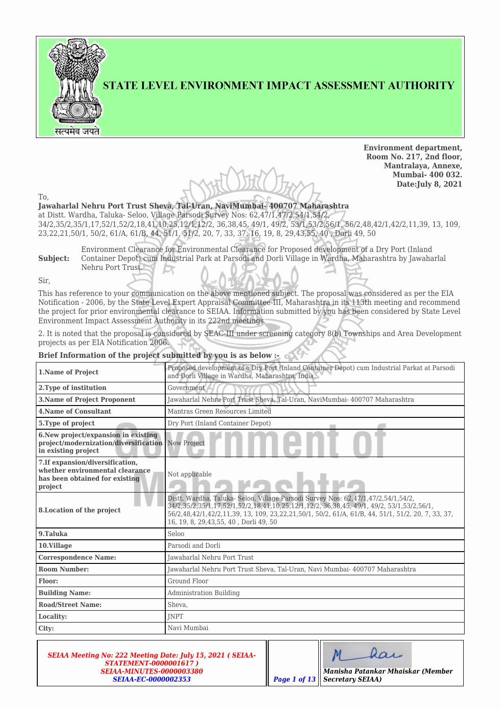

STATE LEVEL ENVIRONMENT IMPACT ASSESSMENT AUTHORITY

**Environment department, Room No. 217, 2nd floor, Mantralaya, Annexe, Mumbai- 400 032. Date:July 8, 2021**

To,

**Jawaharlal Nehru Port Trust Sheva, Tal-Uran, NaviMumbai- 400707 Maharashtra** at Distt. Wardha, Taluka- Seloo, Village Parsodi Survey Nos: 62,47/1,47/2,54/1,54/2, 34/2,35/2,35/1,17,52/1,52/2,18,41,10,25,12/1,12/2, 36,38,45, 49/1, 49/2, 53/1,53/2,56/1, 56/2,48,42/1,42/2,11,39, 13, 109, 23,22,21,50/1, 50/2, 61/A, 61/B, 44, 51/1, 51/2, 20, 7, 33, 37, 16, 19, 8, 29,43,55, 40 , Dorli 49, 50

**Subject:** Environment Clearance for Environmental Clearance for Proposed development of a Dry Port (Inland Container Depot) cum Industrial Park at Parsodi and Dorli Village in Wardha, Maharashtra by Jawaharlal Nehru Port Trust.

Sir,

This has reference to your communication on the above mentioned subject. The proposal was considered as per the EIA Notification - 2006, by the State Level Expert Appraisal Committee-III, Maharashtra in its 113th meeting and recommend the project for prior environmental clearance to SEIAA. Information submitted by you has been considered by State Level Environment Impact Assessment Authority in its 222nd meetings.

2. It is noted that the proposal is considered by SEAC-III under screening category 8(b) Townships and Area Development projects as per EIA Notification 2006.

### **Brief Information of the project submitted by you is as below :-**

| 1. Name of Project                                                                                               | Proposed development of a Dry Port (Inland Container Depot) cum Industrial Parkat at Parsodi<br>and Dorli Village in Wardha, Maharashtra, India.                                                                                                                                                                              |
|------------------------------------------------------------------------------------------------------------------|-------------------------------------------------------------------------------------------------------------------------------------------------------------------------------------------------------------------------------------------------------------------------------------------------------------------------------|
| 2. Type of institution                                                                                           | Government                                                                                                                                                                                                                                                                                                                    |
| <b>3.Name of Project Proponent</b>                                                                               | Jawaharlal Nehru Port Trust Sheva, Tal-Uran, NaviMumbai- 400707 Maharashtra                                                                                                                                                                                                                                                   |
| <b>4.Name of Consultant</b>                                                                                      | Mantras Green Resources Limited                                                                                                                                                                                                                                                                                               |
| 5. Type of project                                                                                               | Dry Port (Inland Container Depot)                                                                                                                                                                                                                                                                                             |
| 6. New project/expansion in existing<br>project/modernization/diversification New Project<br>in existing project |                                                                                                                                                                                                                                                                                                                               |
| 7. If expansion/diversification,<br>whether environmental clearance<br>has been obtained for existing<br>project | Not applicable                                                                                                                                                                                                                                                                                                                |
| 8. Location of the project                                                                                       | Distt. Wardha, Taluka- Seloo, Village Parsodi Survey Nos: 62,47/1,47/2,54/1,54/2,<br>34/2,35/2,35/1,17,52/1,52/2,18,41,10,25,12/1,12/2, 36,38,45, 49/1, 49/2, 53/1,53/2,56/1,<br>56/2,48,42/1,42/2,11,39, 13, 109, 23,22,21,50/1, 50/2, 61/A, 61/B, 44, 51/1, 51/2, 20, 7, 33, 37,<br>16, 19, 8, 29, 43, 55, 40, Dorli 49, 50 |
| 9.Taluka                                                                                                         | Seloo                                                                                                                                                                                                                                                                                                                         |
| 10.Village                                                                                                       | Parsodi and Dorli                                                                                                                                                                                                                                                                                                             |
| <b>Correspondence Name:</b>                                                                                      | Jawaharlal Nehru Port Trust                                                                                                                                                                                                                                                                                                   |
| <b>Room Number:</b>                                                                                              | Jawaharlal Nehru Port Trust Sheva, Tal-Uran, Navi Mumbai- 400707 Maharashtra                                                                                                                                                                                                                                                  |
| Floor:                                                                                                           | Ground Floor                                                                                                                                                                                                                                                                                                                  |
| <b>Building Name:</b>                                                                                            | Administration Building                                                                                                                                                                                                                                                                                                       |
| <b>Road/Street Name:</b>                                                                                         | Sheva.                                                                                                                                                                                                                                                                                                                        |
| Locality:                                                                                                        | <b>INPT</b>                                                                                                                                                                                                                                                                                                                   |
| City:                                                                                                            | Navi Mumbai                                                                                                                                                                                                                                                                                                                   |

*SEIAA Meeting No: 222 Meeting Date: July 15, 2021 ( SEIAA-STATEMENT-0000001617 ) SEIAA-MINUTES-0000003380 SEIAA-EC-0000002353 Page 1 of 13*

 $la$ *Manisha Patankar Mhaiskar (Member Secretary SEIAA)*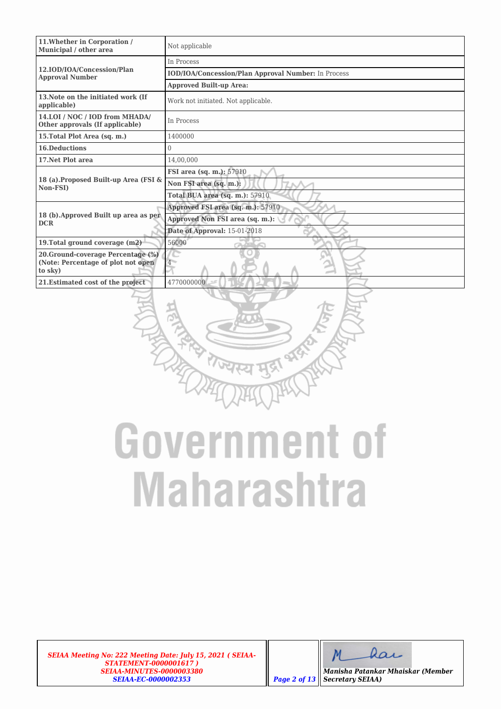| 11. Whether in Corporation /<br>Municipal / other area            | Not applicable                                             |  |  |  |  |  |
|-------------------------------------------------------------------|------------------------------------------------------------|--|--|--|--|--|
|                                                                   | In Process                                                 |  |  |  |  |  |
| 12.IOD/IOA/Concession/Plan<br><b>Approval Number</b>              | <b>IOD/IOA/Concession/Plan Approval Number:</b> In Process |  |  |  |  |  |
|                                                                   | <b>Approved Built-up Area:</b>                             |  |  |  |  |  |
| 13. Note on the initiated work (If<br>applicable)                 | Work not initiated. Not applicable.                        |  |  |  |  |  |
| 14.LOI / NOC / IOD from MHADA/<br>Other approvals (If applicable) | In Process                                                 |  |  |  |  |  |
| 15. Total Plot Area (sq. m.)                                      | 1400000                                                    |  |  |  |  |  |
| <b>16.Deductions</b>                                              | $\theta$                                                   |  |  |  |  |  |
| 17. Net Plot area                                                 | 14,00,000                                                  |  |  |  |  |  |
|                                                                   | FSI area (sq. m.): 57910                                   |  |  |  |  |  |
| 18 (a). Proposed Built-up Area (FSI &<br>Non-FSI)                 | Non FSI area (sq. m.):                                     |  |  |  |  |  |
|                                                                   | Total BUA area (sq. m.): 57910                             |  |  |  |  |  |
|                                                                   | Approved FSI area (sq. m.): 57910                          |  |  |  |  |  |
| 18 (b). Approved Built up area as per<br><b>DCR</b>               | Approved Non FSI area (sq. m.):                            |  |  |  |  |  |
|                                                                   | Date of Approval: 15-01-2018                               |  |  |  |  |  |
| 19. Total ground coverage (m2)                                    | 56000                                                      |  |  |  |  |  |
| 20. Ground-coverage Percentage (%)                                |                                                            |  |  |  |  |  |
| (Note: Percentage of plot not open<br>to sky)                     |                                                            |  |  |  |  |  |
| 21. Estimated cost of the project                                 | 4770000000                                                 |  |  |  |  |  |
|                                                                   |                                                            |  |  |  |  |  |

त्यमूद्र<br>स्य मूद्र

*SEIAA Meeting No: 222 Meeting Date: July 15, 2021 ( SEIAA-STATEMENT-0000001617 ) SEIAA-MINUTES-0000003380 SEIAA-EC-0000002353 Page 2 of 13*

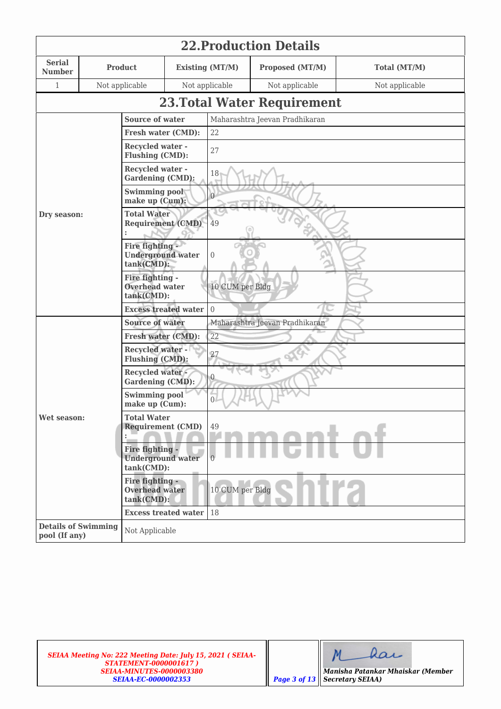| <b>22. Production Details</b>               |  |                                                              |                                  |                        |                                    |                |  |  |  |
|---------------------------------------------|--|--------------------------------------------------------------|----------------------------------|------------------------|------------------------------------|----------------|--|--|--|
| <b>Serial</b><br><b>Number</b>              |  | <b>Product</b>                                               |                                  | <b>Existing (MT/M)</b> | Proposed (MT/M)                    | Total (MT/M)   |  |  |  |
| $\mathbf{1}$                                |  | Not applicable                                               |                                  | Not applicable         | Not applicable                     | Not applicable |  |  |  |
|                                             |  |                                                              |                                  |                        | <b>23. Total Water Requirement</b> |                |  |  |  |
|                                             |  | <b>Source of water</b>                                       |                                  |                        | Maharashtra Jeevan Pradhikaran     |                |  |  |  |
|                                             |  | Fresh water (CMD):                                           |                                  | 22                     |                                    |                |  |  |  |
|                                             |  | <b>Recycled water -</b><br>Flushing (CMD):                   |                                  | 27                     |                                    |                |  |  |  |
|                                             |  | <b>Recycled water -</b><br><b>Gardening (CMD):</b>           |                                  | 18                     |                                    |                |  |  |  |
|                                             |  | <b>Swimming pool</b><br>make up (Cum):                       |                                  | $\overline{0}$         |                                    |                |  |  |  |
| Dry season:                                 |  | <b>Total Water</b><br><b>Requirement (CMD)</b>               |                                  | 49                     |                                    |                |  |  |  |
|                                             |  | Fire fighting -<br><b>Underground water</b><br>$tank(CMD)$ : |                                  | $\boldsymbol{0}$       |                                    |                |  |  |  |
|                                             |  | Fire fighting -<br><b>Overhead water</b><br>tank(CMD):       |                                  | 10 CUM per Bldg        |                                    |                |  |  |  |
|                                             |  | <b>Excess treated water</b>                                  |                                  | $\sqrt{0}$             |                                    |                |  |  |  |
|                                             |  | <b>Source of water</b>                                       |                                  |                        | Maharashtra Jeevan Pradhikaran     |                |  |  |  |
|                                             |  | Fresh water (CMD):                                           |                                  | 22                     |                                    |                |  |  |  |
|                                             |  | <b>Recycled water -</b><br>Flushing (CMD):                   |                                  | 27                     |                                    |                |  |  |  |
|                                             |  | <b>Recycled water-</b><br><b>Gardening (CMD):</b>            |                                  | $\boldsymbol{0}$       |                                    |                |  |  |  |
|                                             |  | <b>Swimming pool</b><br>make up (Cum):                       |                                  | $\Omega$               |                                    |                |  |  |  |
| Wet season:                                 |  | <b>Total Water</b><br><b>Requirement (CMD)</b>               |                                  | 49                     |                                    |                |  |  |  |
|                                             |  | Fire fighting -<br><b>Underground water</b><br>tank(CMD):    |                                  | $\Omega$               |                                    |                |  |  |  |
|                                             |  | Fire fighting -<br><b>Overhead water</b><br>tank(CMD):       |                                  | 10 CUM per Bldg        |                                    |                |  |  |  |
|                                             |  |                                                              | <b>Excess treated water   18</b> |                        |                                    |                |  |  |  |
| <b>Details of Swimming</b><br>pool (If any) |  | Not Applicable                                               |                                  |                        |                                    |                |  |  |  |

dar  $M$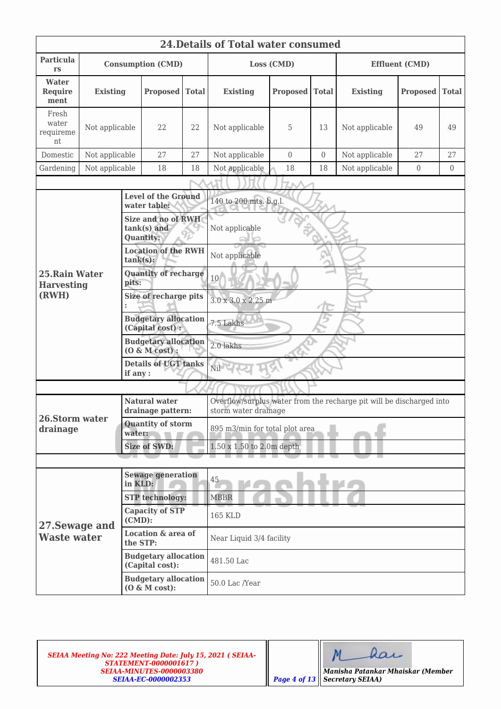|                                     | <b>24. Details of Total water consumed</b> |                                                 |                                                              |              |                                                                                              |                 |                  |                       |                 |                |  |  |  |
|-------------------------------------|--------------------------------------------|-------------------------------------------------|--------------------------------------------------------------|--------------|----------------------------------------------------------------------------------------------|-----------------|------------------|-----------------------|-----------------|----------------|--|--|--|
| <b>Particula</b><br><b>rs</b>       | <b>Consumption (CMD)</b>                   |                                                 |                                                              | Loss (CMD)   |                                                                                              |                 |                  | <b>Effluent (CMD)</b> |                 |                |  |  |  |
| Water<br><b>Require</b><br>ment     | <b>Existing</b><br><b>Proposed</b>         |                                                 |                                                              | <b>Total</b> | <b>Existing</b>                                                                              | <b>Proposed</b> | <b>Total</b>     | <b>Existing</b>       | <b>Proposed</b> | <b>Total</b>   |  |  |  |
| Fresh<br>water<br>requireme<br>nt   | Not applicable                             |                                                 | 22                                                           | 22           | Not applicable                                                                               | 5               | 13               | Not applicable        | 49              | 49             |  |  |  |
| Domestic                            | Not applicable                             |                                                 | 27                                                           | 27           | Not applicable                                                                               | $\overline{0}$  | $\boldsymbol{0}$ | Not applicable        | 27              | 27             |  |  |  |
| Gardening                           | Not applicable                             |                                                 | 18                                                           | 18           | Not applicable                                                                               | 18              | 18               | Not applicable        | $\overline{0}$  | $\overline{0}$ |  |  |  |
|                                     |                                            |                                                 |                                                              |              |                                                                                              |                 |                  |                       |                 |                |  |  |  |
|                                     |                                            |                                                 | <b>Level of the Ground</b><br>water table:                   |              | 140 to 200 mts. b.g.l.                                                                       |                 |                  |                       |                 |                |  |  |  |
|                                     |                                            |                                                 | <b>Size and no of RWH</b><br>tank(s) and<br><b>Quantity:</b> |              | Not applicable                                                                               |                 |                  |                       |                 |                |  |  |  |
|                                     |                                            | $tank(s)$ :                                     | <b>Location of the RWH</b>                                   |              | Not applicable                                                                               |                 |                  |                       |                 |                |  |  |  |
| 25. Rain Water<br><b>Harvesting</b> |                                            | <b>Quantity of recharge</b><br>pits:            |                                                              |              | 10                                                                                           |                 |                  |                       |                 |                |  |  |  |
| (RWH)                               |                                            | Size of recharge pits                           |                                                              |              | 3.0 x 3.0 x 2.25 m                                                                           |                 |                  |                       |                 |                |  |  |  |
|                                     |                                            | <b>Budgetary allocation</b><br>(Capital cost) : |                                                              |              | 7.5 Lakhs                                                                                    |                 |                  |                       |                 |                |  |  |  |
|                                     |                                            | <b>Budgetary allocation</b><br>$(0 \& M cost):$ |                                                              |              | 2.0 lakhs                                                                                    |                 |                  |                       |                 |                |  |  |  |
|                                     |                                            | if any :                                        | <b>Details of UGT tanks</b>                                  |              | Nil                                                                                          |                 |                  |                       |                 |                |  |  |  |
|                                     |                                            |                                                 |                                                              |              |                                                                                              |                 |                  |                       |                 |                |  |  |  |
|                                     |                                            |                                                 | <b>Natural water</b><br>drainage pattern:                    |              | Overflow/surplus water from the recharge pit will be discharged into<br>storm water drainage |                 |                  |                       |                 |                |  |  |  |
| 26.Storm water<br>drainage          |                                            | <b>Quantity of storm</b><br>water:              |                                                              |              | 895 m3/min for total plot area                                                               |                 |                  |                       |                 |                |  |  |  |
|                                     |                                            |                                                 | <b>Size of SWD:</b>                                          |              | 1.50 x 1.50 to 2.0m depth                                                                    |                 |                  |                       |                 |                |  |  |  |
|                                     |                                            |                                                 |                                                              |              |                                                                                              |                 |                  |                       |                 |                |  |  |  |
| <b>Sewage generation</b><br>in KLD: |                                            |                                                 | 45                                                           |              |                                                                                              |                 |                  |                       |                 |                |  |  |  |
|                                     |                                            |                                                 | <b>STP</b> technology:                                       |              | <b>MBBR</b>                                                                                  |                 |                  |                       |                 |                |  |  |  |
| 27. Sewage and                      |                                            | $(CMD)$ :                                       | <b>Capacity of STP</b>                                       |              | <b>165 KLD</b>                                                                               |                 |                  |                       |                 |                |  |  |  |
| <b>Waste water</b>                  |                                            | the STP:                                        | <b>Location &amp; area of</b>                                |              | Near Liquid 3/4 facility                                                                     |                 |                  |                       |                 |                |  |  |  |
|                                     |                                            |                                                 | <b>Budgetary allocation</b><br>(Capital cost):               |              | 481.50 Lac                                                                                   |                 |                  |                       |                 |                |  |  |  |
|                                     |                                            |                                                 | <b>Budgetary allocation</b><br>$(0 \& M cost):$              |              | 50.0 Lac /Year                                                                               |                 |                  |                       |                 |                |  |  |  |

dar  $M$ *Manisha Patankar Mhaiskar (Member*

*Secretary SEIAA)*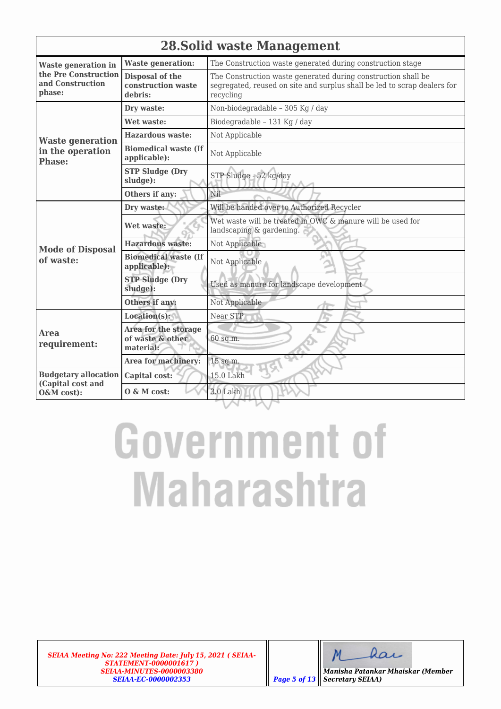|                                                    | <b>28. Solid waste Management</b>                     |                                                                                                                                                        |  |  |  |  |
|----------------------------------------------------|-------------------------------------------------------|--------------------------------------------------------------------------------------------------------------------------------------------------------|--|--|--|--|
| <b>Waste generation in</b>                         | <b>Waste generation:</b>                              | The Construction waste generated during construction stage                                                                                             |  |  |  |  |
| the Pre Construction<br>and Construction<br>phase: | Disposal of the<br>construction waste<br>debris:      | The Construction waste generated during construction shall be<br>segregated, reused on site and surplus shall be led to scrap dealers for<br>recycling |  |  |  |  |
|                                                    | Dry waste:                                            | Non-biodegradable - 305 Kg / day                                                                                                                       |  |  |  |  |
|                                                    | Wet waste:                                            | Biodegradable - 131 Kg / day                                                                                                                           |  |  |  |  |
| <b>Waste generation</b>                            | <b>Hazardous waste:</b>                               | Not Applicable                                                                                                                                         |  |  |  |  |
| in the operation<br><b>Phase:</b>                  | <b>Biomedical waste (If</b><br>applicable):           | Not Applicable                                                                                                                                         |  |  |  |  |
|                                                    | <b>STP Sludge (Dry</b><br>sludge):                    | STP Sludge - 52 kg/day                                                                                                                                 |  |  |  |  |
|                                                    | Others if any:                                        | Nil                                                                                                                                                    |  |  |  |  |
|                                                    | Dry waste:                                            | Will be handed over to Authorized Recycler                                                                                                             |  |  |  |  |
|                                                    | Wet waste:                                            | Wet waste will be treated in OWC & manure will be used for<br>landscaping & gardening.                                                                 |  |  |  |  |
| <b>Mode of Disposal</b>                            | <b>Hazardous waste:</b>                               | Not Applicable                                                                                                                                         |  |  |  |  |
| of waste:                                          | <b>Biomedical waste (If</b><br>applicable):           | Not Applicable                                                                                                                                         |  |  |  |  |
|                                                    | <b>STP Sludge (Dry</b><br>sludge):                    | Used as manure for landscape development                                                                                                               |  |  |  |  |
|                                                    | Others if any:                                        | Not Applicable                                                                                                                                         |  |  |  |  |
|                                                    | Location(s):                                          | Near STP                                                                                                                                               |  |  |  |  |
| <b>Area</b><br>requirement:                        | Area for the storage<br>of waste & other<br>material: | 60 sq.m.                                                                                                                                               |  |  |  |  |
|                                                    | Area for machinery:                                   | 15 sq.m.                                                                                                                                               |  |  |  |  |
| <b>Budgetary allocation</b><br>(Capital cost and   | Capital cost:                                         | 15.0 Lakh                                                                                                                                              |  |  |  |  |
| O&M cost):                                         | $0 \& M \text{ cost:}$                                | $3.0$ Lakh                                                                                                                                             |  |  |  |  |

*SEIAA Meeting No: 222 Meeting Date: July 15, 2021 ( SEIAA-STATEMENT-0000001617 ) SEIAA-MINUTES-0000003380 SEIAA-EC-0000002353 Page 5 of 13*

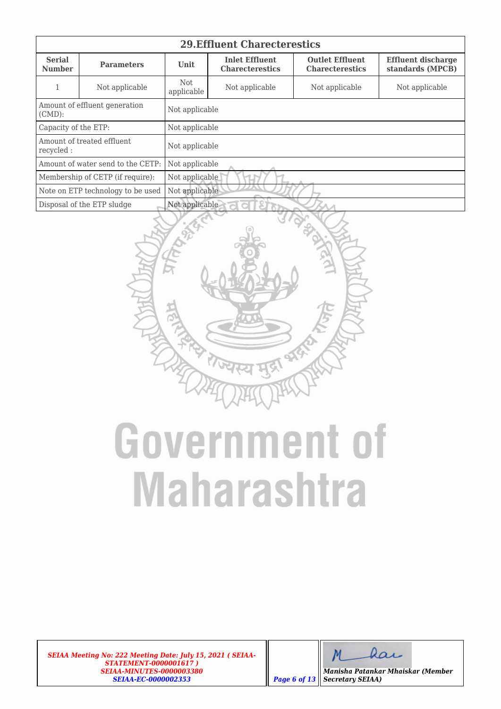| <b>29. Effluent Charecterestics</b>      |                                   |                     |                                                                                                                                                      |                |                |  |  |  |  |
|------------------------------------------|-----------------------------------|---------------------|------------------------------------------------------------------------------------------------------------------------------------------------------|----------------|----------------|--|--|--|--|
| <b>Serial</b><br><b>Number</b>           | <b>Parameters</b>                 | <b>Unit</b>         | <b>Inlet Effluent</b><br><b>Outlet Effluent</b><br><b>Effluent discharge</b><br>standards (MPCB)<br><b>Charecterestics</b><br><b>Charecterestics</b> |                |                |  |  |  |  |
|                                          | Not applicable                    | Not<br>applicable   | Not applicable                                                                                                                                       | Not applicable | Not applicable |  |  |  |  |
| $(CMD)$ :                                | Amount of effluent generation     | Not applicable      |                                                                                                                                                      |                |                |  |  |  |  |
| Capacity of the ETP:                     |                                   | Not applicable      |                                                                                                                                                      |                |                |  |  |  |  |
| Amount of treated effluent.<br>recycled: |                                   | Not applicable      |                                                                                                                                                      |                |                |  |  |  |  |
|                                          | Amount of water send to the CETP: | Not applicable      |                                                                                                                                                      |                |                |  |  |  |  |
|                                          | Membership of CETP (if require):  | Not applicable      |                                                                                                                                                      |                |                |  |  |  |  |
|                                          | Note on ETP technology to be used | Not applicable      |                                                                                                                                                      |                |                |  |  |  |  |
|                                          | Disposal of the ETP sludge        | Not applicable<br>d |                                                                                                                                                      |                |                |  |  |  |  |



*SEIAA Meeting No: 222 Meeting Date: July 15, 2021 ( SEIAA-STATEMENT-0000001617 ) SEIAA-MINUTES-0000003380 SEIAA-EC-0000002353 Page 6 of 13*

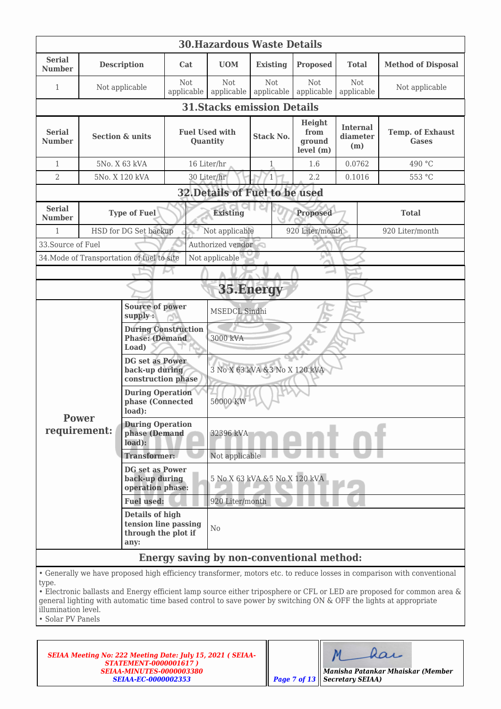| <b>30. Hazardous Waste Details</b>                                                                                                                                                                                                                                                                                                                                                                   |                                    |                                                                               |                   |                                                       |                               |                                           |                                    |                                         |  |
|------------------------------------------------------------------------------------------------------------------------------------------------------------------------------------------------------------------------------------------------------------------------------------------------------------------------------------------------------------------------------------------------------|------------------------------------|-------------------------------------------------------------------------------|-------------------|-------------------------------------------------------|-------------------------------|-------------------------------------------|------------------------------------|-----------------------------------------|--|
| <b>Serial</b><br><b>Number</b>                                                                                                                                                                                                                                                                                                                                                                       |                                    | <b>Description</b>                                                            | Cat               | <b>UOM</b>                                            | <b>Existing</b>               | <b>Proposed</b>                           | <b>Total</b>                       | <b>Method of Disposal</b>               |  |
| 1                                                                                                                                                                                                                                                                                                                                                                                                    |                                    | Not applicable                                                                | Not<br>applicable | <b>Not</b><br>applicable                              | Not<br>applicable             | Not<br>applicable                         | Not<br>applicable                  | Not applicable                          |  |
|                                                                                                                                                                                                                                                                                                                                                                                                      | <b>31. Stacks emission Details</b> |                                                                               |                   |                                                       |                               |                                           |                                    |                                         |  |
| <b>Serial</b><br><b>Number</b>                                                                                                                                                                                                                                                                                                                                                                       |                                    | <b>Section &amp; units</b>                                                    |                   | <b>Fuel Used with</b><br><b>Stack No.</b><br>Quantity |                               | Height<br>from<br>ground<br>level (m)     | <b>Internal</b><br>diameter<br>(m) | <b>Temp. of Exhaust</b><br><b>Gases</b> |  |
| $\mathbf{1}$                                                                                                                                                                                                                                                                                                                                                                                         |                                    | 5No. X 63 kVA                                                                 |                   | 16 Liter/hr                                           | 1                             | 1.6                                       | 0.0762                             | 490 °C                                  |  |
| $\overline{2}$                                                                                                                                                                                                                                                                                                                                                                                       |                                    | 5No. X 120 kVA                                                                |                   | 30 Liter/hr                                           | 1                             | 2.2                                       | 0.1016                             | 553 °C                                  |  |
|                                                                                                                                                                                                                                                                                                                                                                                                      |                                    |                                                                               |                   | 32. Details of Fuel to be used                        |                               |                                           |                                    |                                         |  |
| <b>Serial</b><br><b>Number</b>                                                                                                                                                                                                                                                                                                                                                                       |                                    | <b>Type of Fuel</b>                                                           |                   | <b>Existing</b>                                       |                               | <b>Proposed</b>                           |                                    | <b>Total</b>                            |  |
| 1                                                                                                                                                                                                                                                                                                                                                                                                    |                                    | HSD for DG Set backup                                                         |                   | Not applicable                                        |                               | 920 Liter/month                           |                                    | 920 Liter/month                         |  |
| 33. Source of Fuel                                                                                                                                                                                                                                                                                                                                                                                   |                                    |                                                                               |                   | Authorized vendor                                     |                               |                                           |                                    |                                         |  |
|                                                                                                                                                                                                                                                                                                                                                                                                      |                                    | 34. Mode of Transportation of fuel to site                                    |                   | Not applicable                                        |                               | P.A                                       |                                    |                                         |  |
|                                                                                                                                                                                                                                                                                                                                                                                                      |                                    |                                                                               |                   |                                                       |                               |                                           |                                    |                                         |  |
|                                                                                                                                                                                                                                                                                                                                                                                                      |                                    |                                                                               |                   |                                                       | 35.Energy                     |                                           |                                    |                                         |  |
|                                                                                                                                                                                                                                                                                                                                                                                                      |                                    | <b>Source of power</b><br>supply:                                             |                   | MSEDCL Sindhi                                         |                               |                                           |                                    |                                         |  |
|                                                                                                                                                                                                                                                                                                                                                                                                      |                                    | <b>During Construction</b><br><b>Phase: (Demand</b><br>Load)                  |                   | 3000 kVA                                              |                               |                                           |                                    |                                         |  |
|                                                                                                                                                                                                                                                                                                                                                                                                      |                                    | <b>DG</b> set as Power<br>back-up during<br>construction phase                |                   | 3 No X 63 kVA & 3 No X 120 kVA                        |                               |                                           |                                    |                                         |  |
|                                                                                                                                                                                                                                                                                                                                                                                                      |                                    | <b>During Operation</b><br>phase (Connected<br>load):                         |                   | 50000 KW                                              |                               |                                           |                                    |                                         |  |
| Power<br>requirement:                                                                                                                                                                                                                                                                                                                                                                                |                                    | <b>During Operation</b><br>phase (Demand<br>load):                            |                   | 32396 kVA                                             |                               |                                           |                                    |                                         |  |
|                                                                                                                                                                                                                                                                                                                                                                                                      |                                    | <b>Transformer:</b>                                                           |                   | Not applicable                                        |                               |                                           |                                    |                                         |  |
|                                                                                                                                                                                                                                                                                                                                                                                                      |                                    | <b>DG</b> set as Power<br>back-up during<br>operation phase:                  |                   |                                                       | 5 No X 63 kVA &5 No X 120 kVA |                                           |                                    |                                         |  |
|                                                                                                                                                                                                                                                                                                                                                                                                      |                                    | <b>Fuel used:</b>                                                             |                   | 920 Liter/month                                       |                               |                                           |                                    |                                         |  |
|                                                                                                                                                                                                                                                                                                                                                                                                      |                                    | <b>Details of high</b><br>tension line passing<br>through the plot if<br>any: |                   | N <sub>0</sub>                                        |                               |                                           |                                    |                                         |  |
|                                                                                                                                                                                                                                                                                                                                                                                                      |                                    |                                                                               |                   |                                                       |                               | Energy saving by non-conventional method: |                                    |                                         |  |
| • Generally we have proposed high efficiency transformer, motors etc. to reduce losses in comparison with conventional<br>type.<br>• Electronic ballasts and Energy efficient lamp source either triposphere or CFL or LED are proposed for common area &<br>general lighting with automatic time based control to save power by switching ON & OFF the lights at appropriate<br>illumination level. |                                    |                                                                               |                   |                                                       |                               |                                           |                                    |                                         |  |

• Solar PV Panels

| $\vert$ Page 7 of 13 |
|----------------------|
|                      |

| Maar |  |
|------|--|
|------|--|

*Secretary SEIAA)*

*Manisha Patankar Mhaiskar (Member*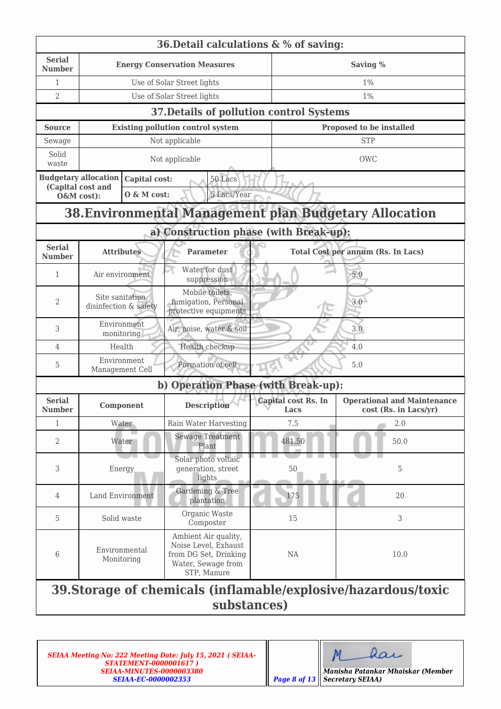|                                | 36. Detail calculations $\& \%$ of saving:                                    |               |                                                                                                            |                             |                                                               |  |  |  |  |  |
|--------------------------------|-------------------------------------------------------------------------------|---------------|------------------------------------------------------------------------------------------------------------|-----------------------------|---------------------------------------------------------------|--|--|--|--|--|
| <b>Serial</b><br><b>Number</b> |                                                                               |               | <b>Energy Conservation Measures</b>                                                                        |                             | Saving %                                                      |  |  |  |  |  |
| 1                              |                                                                               |               | Use of Solar Street lights                                                                                 |                             | $1\%$                                                         |  |  |  |  |  |
| 2                              |                                                                               |               | Use of Solar Street lights                                                                                 |                             | $1\%$                                                         |  |  |  |  |  |
|                                |                                                                               |               | 37. Details of pollution control Systems                                                                   |                             |                                                               |  |  |  |  |  |
| <b>Source</b>                  |                                                                               |               | <b>Existing pollution control system</b>                                                                   |                             | Proposed to be installed                                      |  |  |  |  |  |
| Sewage                         |                                                                               |               | Not applicable                                                                                             |                             | <b>STP</b>                                                    |  |  |  |  |  |
| Solid<br>waste                 |                                                                               |               | Not applicable                                                                                             |                             | <b>OWC</b>                                                    |  |  |  |  |  |
|                                | <b>Budgetary allocation</b><br>(Capital cost and                              | Capital cost: | 50 Lacs                                                                                                    |                             |                                                               |  |  |  |  |  |
|                                | O&M cost):                                                                    | O & M cost:   | 5 Lacs/Year                                                                                                |                             |                                                               |  |  |  |  |  |
|                                |                                                                               |               |                                                                                                            |                             | <b>38. Environmental Management plan Budgetary Allocation</b> |  |  |  |  |  |
|                                |                                                                               |               | a) Construction phase (with Break-up):                                                                     |                             |                                                               |  |  |  |  |  |
| <b>Serial</b><br><b>Number</b> | <b>Attributes</b>                                                             |               | <b>Parameter</b>                                                                                           |                             | <b>Total Cost per annum (Rs. In Lacs)</b>                     |  |  |  |  |  |
| 1                              | Air environment                                                               |               | Water for dust<br>suppression                                                                              |                             | 5.0                                                           |  |  |  |  |  |
| 2                              | Site sanitation,<br>disinfection & safety                                     |               | Mobile toilets,<br>fumigation, Personal<br>protective equipments                                           | 3.0                         |                                                               |  |  |  |  |  |
| 3                              | Environment<br>monitoring                                                     |               | Air, noise, water & soil                                                                                   |                             | 3.0                                                           |  |  |  |  |  |
| 4                              | Health                                                                        |               | Health checkup                                                                                             |                             | 4.0                                                           |  |  |  |  |  |
| 5                              | Environment<br>Management Cell                                                |               | Formation of cell                                                                                          |                             | 5.0                                                           |  |  |  |  |  |
|                                |                                                                               |               | b) Operation Phase (with Break-up):                                                                        |                             |                                                               |  |  |  |  |  |
| <b>Serial</b><br><b>Number</b> | Component                                                                     |               | <b>Description</b>                                                                                         | Capital cost Rs. In<br>Lacs | <b>Operational and Maintenance</b><br>cost (Rs. in Lacs/yr)   |  |  |  |  |  |
| $\mathbf{1}$                   | Water                                                                         |               | Rain Water Harvesting                                                                                      | 7.5                         | 2.0                                                           |  |  |  |  |  |
| 2                              | Water                                                                         |               | <b>Sewage Treatment</b><br>Plant                                                                           | 481.50                      | 50.0                                                          |  |  |  |  |  |
| 3                              | Energy                                                                        |               | Solar photo voltaic<br>generation, street<br>lights                                                        | 50                          | 5                                                             |  |  |  |  |  |
| 4                              | Land Environment                                                              |               | Gardening & Tree<br>plantation                                                                             | 175                         | 20                                                            |  |  |  |  |  |
| 5                              | Solid waste                                                                   |               | Organic Waste<br>Composter                                                                                 | 15                          | 3                                                             |  |  |  |  |  |
| 6                              | Environmental<br>Monitoring                                                   |               | Ambient Air quality,<br>Noise Level, Exhaust<br>from DG Set, Drinking<br>Water, Sewage from<br>STP, Manure | NA                          | 10.0                                                          |  |  |  |  |  |
|                                | 39. Storage of chemicals (inflamable/explosive/hazardous/toxic<br>substances) |               |                                                                                                            |                             |                                                               |  |  |  |  |  |

*SEIAA Meeting No: 222 Meeting Date: July 15, 2021 ( SEIAA-STATEMENT-0000001617 ) SEIAA-MINUTES-0000003380 SEIAA-EC-0000002353 Page 8 of 13*

|  | Maar |  |
|--|------|--|
|  |      |  |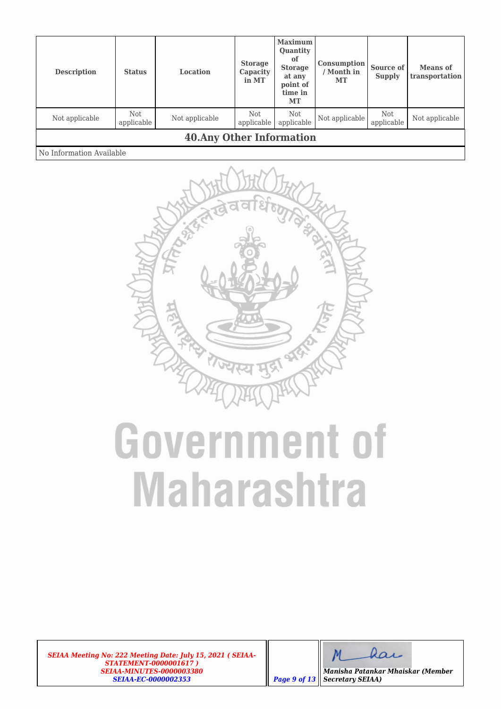| <b>Description</b>               | <b>Status</b>     | Location       | <b>Storage</b><br>Capacity<br>in MT | <b>Maximum</b><br>Quantity<br>of<br><b>Storage</b><br>at any<br>point of<br>time in<br>MT | <b>Consumption</b><br>/ Month in<br>MT | Source of<br><b>Supply</b> | <b>Means</b> of<br>transportation |
|----------------------------------|-------------------|----------------|-------------------------------------|-------------------------------------------------------------------------------------------|----------------------------------------|----------------------------|-----------------------------------|
| Not applicable                   | Not<br>applicable | Not applicable | <b>Not</b><br>applicable            | Not<br>applicable                                                                         | Not applicable                         | Not<br>applicable          | Not applicable                    |
| <b>40. Any Other Information</b> |                   |                |                                     |                                                                                           |                                        |                            |                                   |
| No Information Available         |                   |                |                                     |                                                                                           |                                        |                            |                                   |



*SEIAA Meeting No: 222 Meeting Date: July 15, 2021 ( SEIAA-STATEMENT-0000001617 ) SEIAA-MINUTES-0000003380 SEIAA-EC-0000002353 Page 9 of 13*

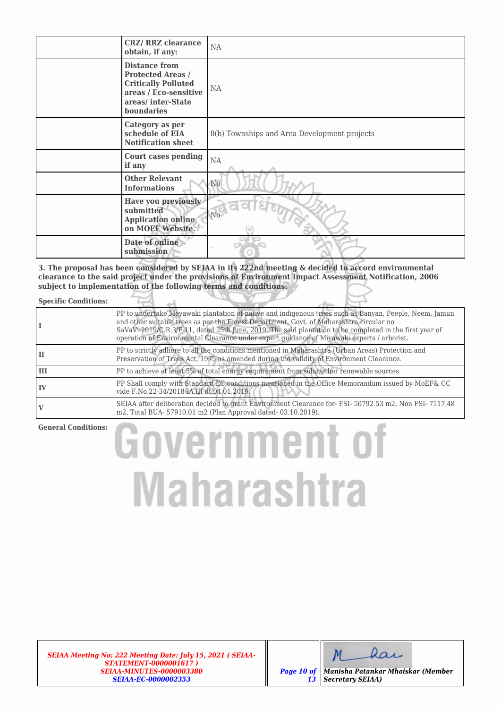| <b>CRZ/ RRZ clearance</b><br>obtain, if any:                                                                                               | NA                                           |
|--------------------------------------------------------------------------------------------------------------------------------------------|----------------------------------------------|
| <b>Distance from</b><br><b>Protected Areas /</b><br><b>Critically Polluted</b><br>areas / Eco-sensitive<br>areas/inter-State<br>boundaries | NA.                                          |
| Category as per<br>schedule of EIA<br><b>Notification sheet</b>                                                                            | 8(b) Townships and Area Development projects |
| <b>Court cases pending</b><br>if any                                                                                                       | $\rm NA$                                     |
| <b>Other Relevant</b><br><b>Informations</b>                                                                                               | N <sub>o</sub>                               |
| Have you previously<br>submitted<br><b>Application online</b><br>on MOEF Website.                                                          | Wo-                                          |
| Date of online<br>submission                                                                                                               |                                              |

**3. The proposal has been considered by SEIAA in its 222nd meeting & decided to accord environmental clearance to the said project under the provisions of Environment Impact Assessment Notification, 2006 subject to implementation of the following terms and conditions:**

### **Specific Conditions:**

|    | PP to undertake Meyawaki plantation of native and indigenous trees such as Banyan, Peeple, Neem, Jamun<br>and other suitable trees as per the Forest Department, Govt. of Maharashtra circular no<br>SaVaVi-2019/C.R.3/F-11, dated 25th June, 2019. The said plantation to be completed in the first year of<br>operation of Environmental Clearance under expert quidance of Miyawaki experts / arborist. |  |
|----|------------------------------------------------------------------------------------------------------------------------------------------------------------------------------------------------------------------------------------------------------------------------------------------------------------------------------------------------------------------------------------------------------------|--|
| ш  | PP to strictly adhere to all the conditions mentioned in Maharashtra (Urban Areas) Protection and<br>Preservation of Trees Act, 1975 as amended during the validity of Environment Clearance.                                                                                                                                                                                                              |  |
| Ш  | PP to achieve at least 5% of total energy requirement from solar/other renewable sources.                                                                                                                                                                                                                                                                                                                  |  |
| IV | PP Shall comply with Standard EC conditions mentioned in the Office Memorandum issued by MoEF& CC<br>vide F.No.22-34/2018-IA.III dt.04.01.2019.                                                                                                                                                                                                                                                            |  |
|    | SEIAA after deliberation decided to grant Environment Clearance for-FSI-50792.53 m2, Non FSI-7117.48<br>m2, Total BUA- 57910.01 m2 (Plan Approval dated-03.10.2019).                                                                                                                                                                                                                                       |  |

### **General Conditions:**

# **Government of Maharashtra**

*SEIAA Meeting No: 222 Meeting Date: July 15, 2021 ( SEIAA-STATEMENT-0000001617 ) SEIAA-MINUTES-0000003380 SEIAA-EC-0000002353*



*Page 10 of 13 Manisha Patankar Mhaiskar (Member Secretary SEIAA)*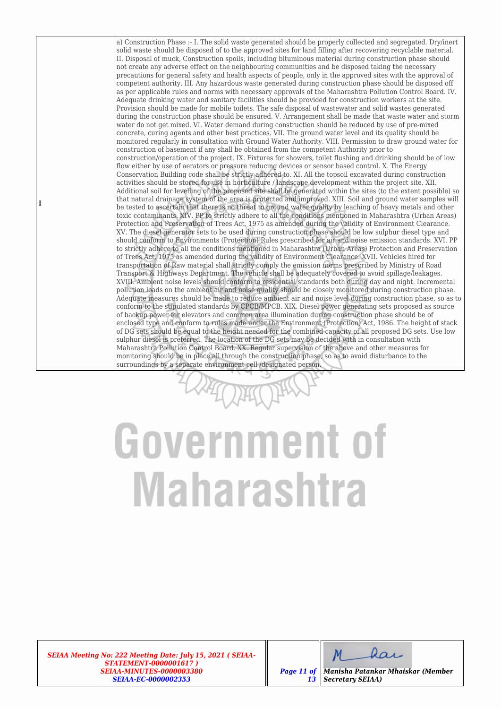a) Construction Phase :- I. The solid waste generated should be properly collected and segregated. Dry/inert solid waste should be disposed of to the approved sites for land filling after recovering recyclable material. II. Disposal of muck, Construction spoils, including bituminous material during construction phase should not create any adverse effect on the neighbouring communities and be disposed taking the necessary precautions for general safety and health aspects of people, only in the approved sites with the approval of competent authority. III. Any hazardous waste generated during construction phase should be disposed off as per applicable rules and norms with necessary approvals of the Maharashtra Pollution Control Board. IV. Adequate drinking water and sanitary facilities should be provided for construction workers at the site. Provision should be made for mobile toilets. The safe disposal of wastewater and solid wastes generated during the construction phase should be ensured. V. Arrangement shall be made that waste water and storm water do not get mixed. VI. Water demand during construction should be reduced by use of pre-mixed concrete, curing agents and other best practices. VII. The ground water level and its quality should be monitored regularly in consultation with Ground Water Authority. VIII. Permission to draw ground water for construction of basement if any shall be obtained from the competent Authority prior to construction/operation of the project. IX. Fixtures for showers, toilet flushing and drinking should be of low flow either by use of aerators or pressure reducing devices or sensor based control. X. The Energy Conservation Building code shall be strictly adhered to. XI. All the topsoil excavated during construction activities should be stored for use in horticulture / landscape development within the project site. XII. Additional soil for levelling of the proposed site shall be generated within the sites (to the extent possible) so that natural drainage system of the area is protected and improved. XIII. Soil and ground water samples will be tested to ascertain that there is no threat to ground water quality by leaching of heavy metals and other toxic contaminants. XIV. PP to strictly adhere to all the conditions mentioned in Maharashtra (Urban Areas) Protection and Preservation of Trees Act, 1975 as amended during the validity of Environment Clearance. XV. The diesel generator sets to be used during construction phase should be low sulphur diesel type and should conform to Environments (Protection) Rules prescribed for air and noise emission standards. XVI. PP to strictly adhere to all the conditions mentioned in Maharashtra (Urban Areas) Protection and Preservation of Trees Act, 1975 as amended during the validity of Environment Clearance. XVII. Vehicles hired for transportation of Raw material shall strictly comply the emission norms prescribed by Ministry of Road Transport & Highways Department. The vehicle shall be adequately covered to avoid spillage/leakages. XVIII. Ambient noise levels should conform to residential standards both during day and night. Incremental pollution loads on the ambient air and noise quality should be closely monitored during construction phase. Adequate measures should be made to reduce ambient air and noise level during construction phase, so as to conform to the stipulated standards by CPCB/MPCB. XIX. Diesel power generating sets proposed as source of backup power for elevators and common area illumination during construction phase should be of enclosed type and conform to rules made under the Environment (Protection) Act, 1986. The height of stack of DG sets should be equal to the height needed for the combined capacity of all proposed DG sets. Use low sulphur diesel is preferred. The location of the DG sets may be decided with in consultation with Maharashtra Pollution Control Board. XX. Regular supervision of the above and other measures for monitoring should be in place all through the construction phase, so as to avoid disturbance to the surroundings by a separate environment cell /designated person.

### Government of **Maharashtra**

*SEIAA Meeting No: 222 Meeting Date: July 15, 2021 ( SEIAA-STATEMENT-0000001617 ) SEIAA-MINUTES-0000003380 SEIAA-EC-0000002353*

**I**



*Page 11 of 13 Manisha Patankar Mhaiskar (Member Secretary SEIAA)*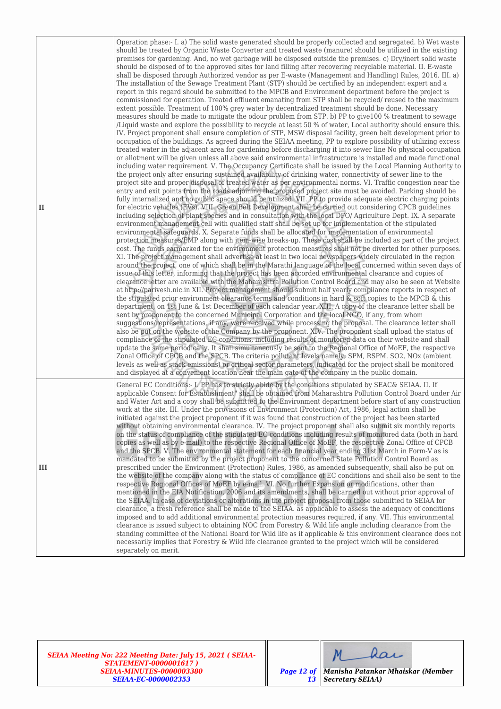| $\mathbf{I}$ | Operation phase:- I. a) The solid waste generated should be properly collected and segregated. b) Wet waste<br>should be treated by Organic Waste Converter and treated waste (manure) should be utilized in the existing<br>premises for gardening. And, no wet garbage will be disposed outside the premises. c) Dry/inert solid waste<br>should be disposed of to the approved sites for land filling after recovering recyclable material. II. E-waste<br>shall be disposed through Authorized vendor as per E-waste (Management and Handling) Rules, 2016. III. a)<br>The installation of the Sewage Treatment Plant (STP) should be certified by an independent expert and a<br>report in this regard should be submitted to the MPCB and Environment department before the project is<br>commissioned for operation. Treated effluent emanating from STP shall be recycled/ reused to the maximum<br>extent possible. Treatment of 100% grey water by decentralized treatment should be done. Necessary<br>measures should be made to mitigate the odour problem from STP. b) PP to give100 % treatment to sewage<br>/Liquid waste and explore the possibility to recycle at least 50 % of water, Local authority should ensure this.<br>IV. Project proponent shall ensure completion of STP, MSW disposal facility, green belt development prior to<br>occupation of the buildings. As agreed during the SEIAA meeting, PP to explore possibility of utilizing excess<br>treated water in the adjacent area for gardening before discharging it into sewer line No physical occupation<br>or allotment will be given unless all above said environmental infrastructure is installed and made functional<br>including water requirement. V. The Occupancy Certificate shall be issued by the Local Planning Authority to<br>the project only after ensuring sustained availability of drinking water, connectivity of sewer line to the<br>project site and proper disposal of treated water as per environmental norms. VI. Traffic congestion near the<br>entry and exit points from the roads adjoining the proposed project site must be avoided. Parking should be<br>fully internalized and no public space should be utilized. VII. PP to provide adequate electric charging points<br>for electric vehicles (EVs). VIII. Green Belt Development shall be carried out considering CPCB guidelines<br>including selection of plant species and in consultation with the local DFO/ Agriculture Dept. IX. A separate<br>environment management cell with qualified staff shall be set up for implementation of the stipulated<br>environmental safeguards. X. Separate funds shall be allocated for implementation of environmental<br>protection measures/EMP along with item-wise breaks-up. These cost shall be included as part of the project<br>cost. The funds earmarked for the environment protection measures shall not be diverted for other purposes.<br>XI. The project management shall advertise at least in two local newspapers widely circulated in the region<br>around the project, one of which shall be in the Marathi language of the local concerned within seven days of<br>issue of this letter, informing that the project has been accorded environmental clearance and copies of<br>clearance letter are available with the Maharashtra Pollution Control Board and may also be seen at Website<br>at http://parivesh.nic.in XII. Project management should submit half yearly compliance reports in respect of<br>the stipulated prior environment clearance terms and conditions in hard & soft copies to the MPCB & this<br>department, on 1st June & 1st December of each calendar year. XIII. A copy of the clearance letter shall be<br>sent by proponent to the concerned Municipal Corporation and the local NGO, if any, from whom<br>suggestions/representations, if any, were received while processing the proposal. The clearance letter shall<br>also be put on the website of the Company by the proponent. XIV. The proponent shall upload the status of<br>compliance of the stipulated EC conditions, including results of monitored data on their website and shall<br>update the same periodically. It shall simultaneously be sent to the Regional Office of MoEF, the respective<br>Zonal Office of CPCB and the SPCB. The criteria pollutant levels namely; SPM, RSPM. SO2, NOx (ambient<br>levels as well as stack emissions) or critical sector parameters, indicated for the project shall be monitored<br>and displayed at a convenient location near the main gate of the company in the public domain. |
|--------------|--------------------------------------------------------------------------------------------------------------------------------------------------------------------------------------------------------------------------------------------------------------------------------------------------------------------------------------------------------------------------------------------------------------------------------------------------------------------------------------------------------------------------------------------------------------------------------------------------------------------------------------------------------------------------------------------------------------------------------------------------------------------------------------------------------------------------------------------------------------------------------------------------------------------------------------------------------------------------------------------------------------------------------------------------------------------------------------------------------------------------------------------------------------------------------------------------------------------------------------------------------------------------------------------------------------------------------------------------------------------------------------------------------------------------------------------------------------------------------------------------------------------------------------------------------------------------------------------------------------------------------------------------------------------------------------------------------------------------------------------------------------------------------------------------------------------------------------------------------------------------------------------------------------------------------------------------------------------------------------------------------------------------------------------------------------------------------------------------------------------------------------------------------------------------------------------------------------------------------------------------------------------------------------------------------------------------------------------------------------------------------------------------------------------------------------------------------------------------------------------------------------------------------------------------------------------------------------------------------------------------------------------------------------------------------------------------------------------------------------------------------------------------------------------------------------------------------------------------------------------------------------------------------------------------------------------------------------------------------------------------------------------------------------------------------------------------------------------------------------------------------------------------------------------------------------------------------------------------------------------------------------------------------------------------------------------------------------------------------------------------------------------------------------------------------------------------------------------------------------------------------------------------------------------------------------------------------------------------------------------------------------------------------------------------------------------------------------------------------------------------------------------------------------------------------------------------------------------------------------------------------------------------------------------------------------------------------------------------------------------------------------------------------------------------------------------------------------------------------------------------------------------------------------------------------------------------------------------------------------------------------------------------------------------------------------------------------------------------------------------------------------------------------------------------------------------------------------------------------------------------------------------------------------------------------------------------------------------------------------------------------------------------------------------------------|
| III          | General EC Conditions:- I. PP has to strictly abide by the conditions stipulated by SEAC& SEIAA. II. If<br>applicable Consent for Establishment" shall be obtained from Maharashtra Pollution Control Board under Air<br>and Water Act and a copy shall be submitted to the Environment department before start of any construction<br>work at the site. III. Under the provisions of Environment (Protection) Act, 1986, legal action shall be<br>initiated against the project proponent if it was found that construction of the project has been started<br>without obtaining environmental clearance. IV. The project proponent shall also submit six monthly reports<br>on the status of compliance of the stipulated EC conditions including results of monitored data (both in hard<br>copies as well as by e-mail) to the respective Regional Office of MoEF, the respective Zonal Office of CPCB<br>and the SPCB. V. The environmental statement for each financial year ending 31st March in Form-V as is<br>mandated to be submitted by the project proponent to the concerned State Pollution Control Board as<br>prescribed under the Environment (Protection) Rules, 1986, as amended subsequently, shall also be put on<br>the website of the company along with the status of compliance of EC conditions and shall also be sent to the<br>respective Regional Offices of MoEF by e-mail. VI. No further Expansion or modifications, other than<br>mentioned in the EIA Notification, 2006 and its amendments, shall be carried out without prior approval of<br>the SEIAA. In case of deviations or alterations in the project proposal from those submitted to SEIAA for<br>clearance, a fresh reference shall be made to the SEIAA. as applicable to assess the adequacy of conditions<br>imposed and to add additional environmental protection measures required, if any. VII. This environmental<br>clearance is issued subject to obtaining NOC from Forestry & Wild life angle including clearance from the<br>standing committee of the National Board for Wild life as if applicable & this environment clearance does not<br>necessarily implies that Forestry & Wild life clearance granted to the project which will be considered<br>separately on merit.                                                                                                                                                                                                                                                                                                                                                                                                                                                                                                                                                                                                                                                                                                                                                                                                                                                                                                                                                                                                                                                                                                                                                                                                                                                                                                                                                                                                                                                                                                                                                                                                                                                                                                                                                                                                                                                                                                                                                                                                                                                                                                                                                                                                                                                                                                                                                                                       |

*SEIAA Meeting No: 222 Meeting Date: July 15, 2021 ( SEIAA-STATEMENT-0000001617 ) SEIAA-MINUTES-0000003380 SEIAA-EC-0000002353*

dar  $M$ 

*Page 12 of 13 Manisha Patankar Mhaiskar (Member Secretary SEIAA)*